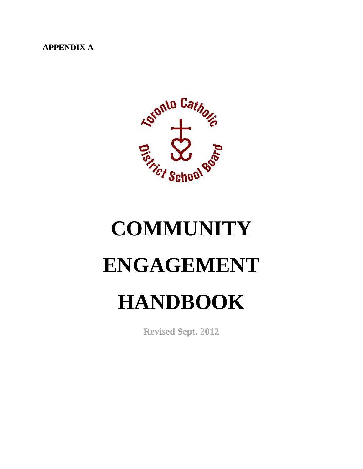**APPENDIX A**



# **COMMUNITY ENGAGEMENT HANDBOOK**

**Revised Sept. 2012**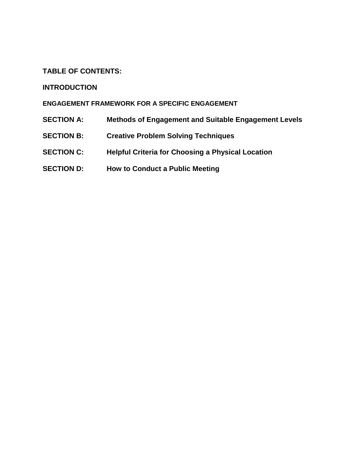# **TABLE OF CONTENTS:**

# **INTRODUCTION**

# **ENGAGEMENT FRAMEWORK FOR A SPECIFIC ENGAGEMENT**

- **SECTION A: Methods of Engagement and Suitable Engagement Levels**
- **SECTION B: Creative Problem Solving Techniques**
- **SECTION C: Helpful Criteria for Choosing a Physical Location**
- **SECTION D: How to Conduct a Public Meeting**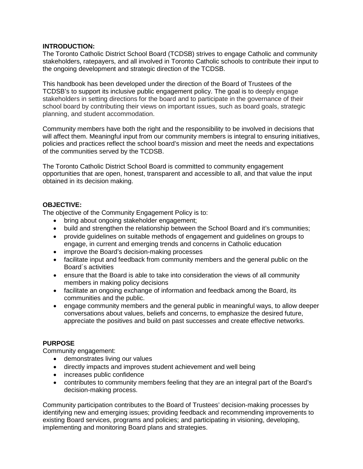# **INTRODUCTION:**

The Toronto Catholic District School Board (TCDSB) strives to engage Catholic and community stakeholders, ratepayers, and all involved in Toronto Catholic schools to contribute their input to the ongoing development and strategic direction of the TCDSB.

This handbook has been developed under the direction of the Board of Trustees of the TCDSB's to support its inclusive public engagement policy. The goal is to deeply engage stakeholders in setting directions for the board and to participate in the governance of their school board by contributing their views on important issues, such as board goals, strategic planning, and student accommodation.

Community members have both the right and the responsibility to be involved in decisions that will affect them. Meaningful input from our community members is integral to ensuring initiatives, policies and practices reflect the school board's mission and meet the needs and expectations of the communities served by the TCDSB.

The Toronto Catholic District School Board is committed to community engagement opportunities that are open, honest, transparent and accessible to all, and that value the input obtained in its decision making.

# **OBJECTIVE:**

The objective of the Community Engagement Policy is to:

- bring about ongoing stakeholder engagement;
- build and strengthen the relationship between the School Board and it's communities;
- provide guidelines on suitable methods of engagement and guidelines on groups to engage, in current and emerging trends and concerns in Catholic education
- improve the Board's decision-making processes
- facilitate input and feedback from community members and the general public on the Board´s activities
- ensure that the Board is able to take into consideration the views of all community members in making policy decisions
- facilitate an ongoing exchange of information and feedback among the Board, its communities and the public.
- engage community members and the general public in meaningful ways, to allow deeper conversations about values, beliefs and concerns, to emphasize the desired future, appreciate the positives and build on past successes and create effective networks.

# **PURPOSE**

Community engagement:

- demonstrates living our values
- directly impacts and improves student achievement and well being
- increases public confidence
- contributes to community members feeling that they are an integral part of the Board's decision-making process.

Community participation contributes to the Board of Trustees' decision-making processes by identifying new and emerging issues; providing feedback and recommending improvements to existing Board services, programs and policies; and participating in visioning, developing, implementing and monitoring Board plans and strategies.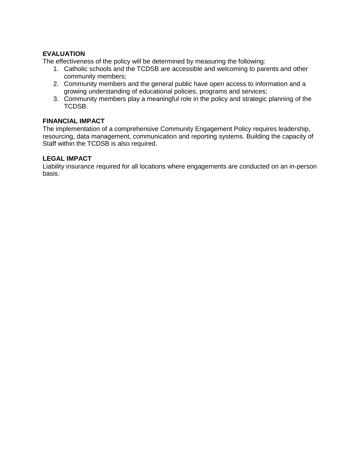# **EVALUATION**

The effectiveness of the policy will be determined by measuring the following:

- 1. Catholic schools and the TCDSB are accessible and welcoming to parents and other community members;
- 2. Community members and the general public have open access to information and a growing understanding of educational policies, programs and services;
- 3. Community members play a meaningful role in the policy and strategic planning of the TCDSB.

# **FINANCIAL IMPACT**

The implementation of a comprehensive Community Engagement Policy requires leadership, resourcing, data management, communication and reporting systems. Building the capacity of Staff within the TCDSB is also required.

## **LEGAL IMPACT**

Liability insurance required for all locations where engagements are conducted on an in-person basis.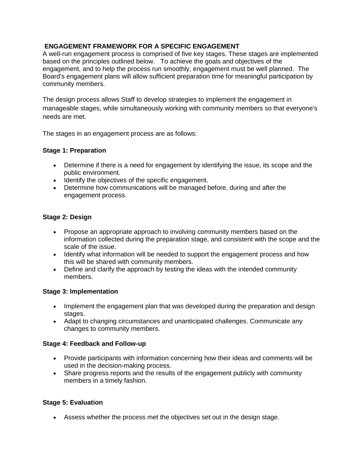# **ENGAGEMENT FRAMEWORK FOR A SPECIFIC ENGAGEMENT**

A well-run engagement process is comprised of five key stages. These stages are implemented based on the principles outlined below. To achieve the goals and objectives of the engagement, and to help the process run smoothly, engagement must be well planned. The Board's engagement plans will allow sufficient preparation time for meaningful participation by community members.

The design process allows Staff to develop strategies to implement the engagement in manageable stages, while simultaneously working with community members so that everyone's needs are met.

The stages in an engagement process are as follows:

# **Stage 1: Preparation**

- Determine if there is a need for engagement by identifying the issue, its scope and the public environment.
- Identify the objectives of the specific engagement.
- Determine how communications will be managed before, during and after the engagement process.

# **Stage 2: Design**

- Propose an appropriate approach to involving community members based on the information collected during the preparation stage, and consistent with the scope and the scale of the issue.
- Identify what information will be needed to support the engagement process and how this will be shared with community members.
- Define and clarify the approach by testing the ideas with the intended community members.

# **Stage 3: Implementation**

- Implement the engagement plan that was developed during the preparation and design stages.
- Adapt to changing circumstances and unanticipated challenges. Communicate any changes to community members.

# **Stage 4: Feedback and Follow-up**

- Provide participants with information concerning how their ideas and comments will be used in the decision-making process.
- Share progress reports and the results of the engagement publicly with community members in a timely fashion.

# **Stage 5: Evaluation**

• Assess whether the process met the objectives set out in the design stage.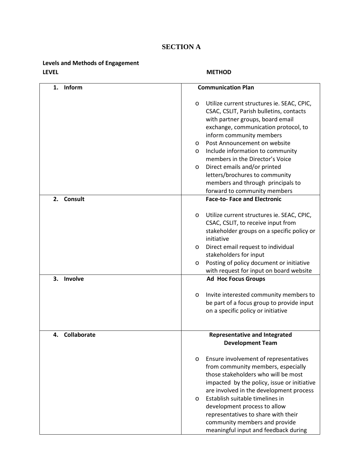# **SECTION A**

# **Levels and Methods of Engagement LEVEL METHOD**

| Inform<br>1.      | <b>Communication Plan</b>                                                                                                                                                                                                                                                                                                                                                                                                                                       |  |  |  |  |
|-------------------|-----------------------------------------------------------------------------------------------------------------------------------------------------------------------------------------------------------------------------------------------------------------------------------------------------------------------------------------------------------------------------------------------------------------------------------------------------------------|--|--|--|--|
|                   | Utilize current structures ie. SEAC, CPIC,<br>O<br>CSAC, CSLIT, Parish bulletins, contacts<br>with partner groups, board email<br>exchange, communication protocol, to<br>inform community members<br>Post Announcement on website<br>O<br>Include information to community<br>O<br>members in the Director's Voice<br>Direct emails and/or printed<br>O<br>letters/brochures to community<br>members and through principals to<br>forward to community members |  |  |  |  |
| 2. Consult        | <b>Face-to-Face and Electronic</b>                                                                                                                                                                                                                                                                                                                                                                                                                              |  |  |  |  |
| 3.<br>Involve     | Utilize current structures ie. SEAC, CPIC,<br>$\circ$<br>CSAC, CSLIT, to receive input from<br>stakeholder groups on a specific policy or<br>initiative<br>Direct email request to individual<br>O<br>stakeholders for input<br>Posting of policy document or initiative<br>O<br>with request for input on board website<br><b>Ad Hoc Focus Groups</b>                                                                                                          |  |  |  |  |
|                   | Invite interested community members to<br>$\circ$                                                                                                                                                                                                                                                                                                                                                                                                               |  |  |  |  |
|                   | be part of a focus group to provide input<br>on a specific policy or initiative                                                                                                                                                                                                                                                                                                                                                                                 |  |  |  |  |
| Collaborate<br>4. | <b>Representative and Integrated</b>                                                                                                                                                                                                                                                                                                                                                                                                                            |  |  |  |  |
|                   | <b>Development Team</b>                                                                                                                                                                                                                                                                                                                                                                                                                                         |  |  |  |  |
|                   | Ensure involvement of representatives<br>O<br>from community members, especially<br>those stakeholders who will be most<br>impacted by the policy, issue or initiative<br>are involved in the development process<br>Establish suitable timelines in<br>$\circ$                                                                                                                                                                                                 |  |  |  |  |
|                   | development process to allow<br>representatives to share with their<br>community members and provide<br>meaningful input and feedback during                                                                                                                                                                                                                                                                                                                    |  |  |  |  |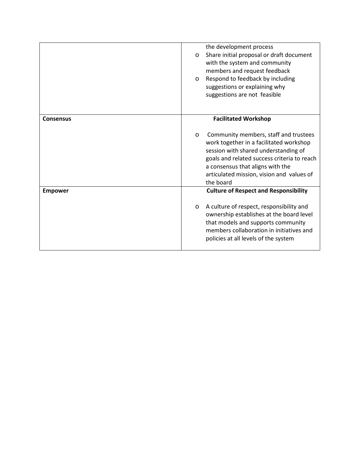|                  | the development process<br>Share initial proposal or draft document<br>$\circ$ |  |  |  |
|------------------|--------------------------------------------------------------------------------|--|--|--|
|                  |                                                                                |  |  |  |
|                  | with the system and community                                                  |  |  |  |
|                  | members and request feedback                                                   |  |  |  |
|                  | Respond to feedback by including<br>$\circ$                                    |  |  |  |
|                  | suggestions or explaining why                                                  |  |  |  |
|                  | suggestions are not feasible                                                   |  |  |  |
|                  |                                                                                |  |  |  |
|                  |                                                                                |  |  |  |
| <b>Consensus</b> | <b>Facilitated Workshop</b>                                                    |  |  |  |
|                  |                                                                                |  |  |  |
|                  |                                                                                |  |  |  |
|                  | Community members, staff and trustees<br>$\circ$                               |  |  |  |
|                  | work together in a facilitated workshop                                        |  |  |  |
|                  | session with shared understanding of                                           |  |  |  |
|                  | goals and related success criteria to reach                                    |  |  |  |
|                  | a consensus that aligns with the                                               |  |  |  |
|                  | articulated mission, vision and values of                                      |  |  |  |
|                  | the board                                                                      |  |  |  |
| <b>Empower</b>   | <b>Culture of Respect and Responsibility</b>                                   |  |  |  |
|                  |                                                                                |  |  |  |
|                  | A culture of respect, responsibility and<br>$\circ$                            |  |  |  |
|                  | ownership establishes at the board level                                       |  |  |  |
|                  | that models and supports community                                             |  |  |  |
|                  | members collaboration in initiatives and                                       |  |  |  |
|                  | policies at all levels of the system                                           |  |  |  |
|                  |                                                                                |  |  |  |
|                  |                                                                                |  |  |  |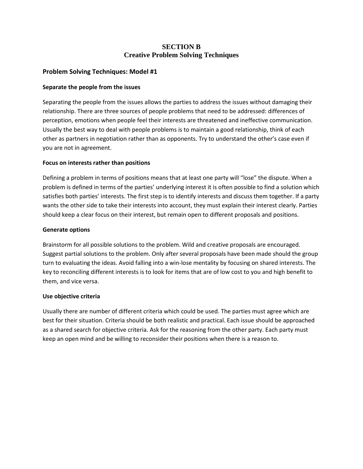# **SECTION B Creative Problem Solving Techniques**

## **Problem Solving Techniques: Model #1**

#### **Separate the people from the issues**

Separating the people from the issues allows the parties to address the issues without damaging their relationship. There are three sources of people problems that need to be addressed: differences of perception, emotions when people feel their interests are threatened and ineffective communication. Usually the best way to deal with people problems is to maintain a good relationship, think of each other as partners in negotiation rather than as opponents. Try to understand the other's case even if you are not in agreement.

## **Focus on interests rather than positions**

Defining a problem in terms of positions means that at least one party will "lose" the dispute. When a problem is defined in terms of the parties' underlying interest it is often possible to find a solution which satisfies both parties' interests. The first step is to identify interests and discuss them together. If a party wants the other side to take their interests into account, they must explain their interest clearly. Parties should keep a clear focus on their interest, but remain open to different proposals and positions.

#### **Generate options**

Brainstorm for all possible solutions to the problem. Wild and creative proposals are encouraged. Suggest partial solutions to the problem. Only after several proposals have been made should the group turn to evaluating the ideas. Avoid falling into a win-lose mentality by focusing on shared interests. The key to reconciling different interests is to look for items that are of low cost to you and high benefit to them, and vice versa.

#### **Use objective criteria**

Usually there are number of different criteria which could be used. The parties must agree which are best for their situation. Criteria should be both realistic and practical. Each issue should be approached as a shared search for objective criteria. Ask for the reasoning from the other party. Each party must keep an open mind and be willing to reconsider their positions when there is a reason to.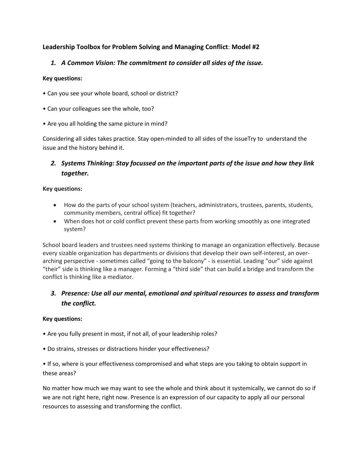# **Leadership Toolbox for Problem Solving and Managing Conflict**: **Model #2**

# *1. A Common Vision: The commitment to consider all sides of the issue.*

## **Key questions:**

- Can you see your whole board, school or district?
- Can your colleagues see the whole, too?
- Are you all holding the same picture in mind?

Considering all sides takes practice. Stay open-minded to all sides of the issueTry to understand the issue and the history behind it.

# *2. Systems Thinking: Stay focussed on the important parts of the issue and how they link together.*

## **Key questions:**

- How do the parts of your school system (teachers, administrators, trustees, parents, students, community members, central office) fit together?
- When does hot or cold conflict prevent these parts from working smoothly as one integrated system?

School board leaders and trustees need systems thinking to manage an organization effectively. Because every sizable organization has departments or divisions that develop their own self-interest, an overarching perspective - sometimes called "going to the balcony" - is essential. Leading "our" side against "their" side is thinking like a manager. Forming a "third side" that can build a bridge and transform the conflict is thinking like a mediator.

# *3. Presence: Use all our mental, emotional and spiritual resources to assess and transform the conflict.*

#### **Key questions:**

- Are you fully present in most, if not all, of your leadership roles?
- Do strains, stresses or distractions hinder your effectiveness?

• If so, where is your effectiveness compromised and what steps are you taking to obtain support in these areas?

No matter how much we may want to see the whole and think about it systemically, we cannot do so if we are not right here, right now. Presence is an expression of our capacity to apply all our personal resources to assessing and transforming the conflict.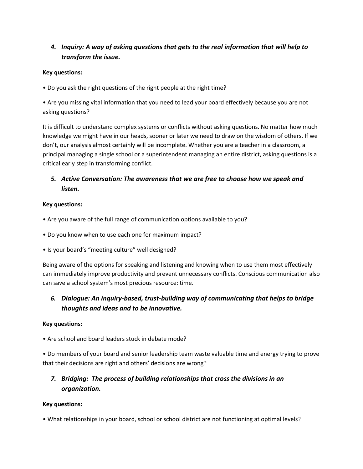# *4. Inquiry: A way of asking questions that gets to the real information that will help to transform the issue.*

# **Key questions:**

• Do you ask the right questions of the right people at the right time?

• Are you missing vital information that you need to lead your board effectively because you are not asking questions?

It is difficult to understand complex systems or conflicts without asking questions. No matter how much knowledge we might have in our heads, sooner or later we need to draw on the wisdom of others. If we don't, our analysis almost certainly will be incomplete. Whether you are a teacher in a classroom, a principal managing a single school or a superintendent managing an entire district, asking questions is a critical early step in transforming conflict.

# *5. Active Conversation: The awareness that we are free to choose how we speak and listen.*

## **Key questions:**

- Are you aware of the full range of communication options available to you?
- Do you know when to use each one for maximum impact?
- Is your board's "meeting culture" well designed?

Being aware of the options for speaking and listening and knowing when to use them most effectively can immediately improve productivity and prevent unnecessary conflicts. Conscious communication also can save a school system's most precious resource: time.

# *6. Dialogue: An inquiry-based, trust-building way of communicating that helps to bridge thoughts and ideas and to be innovative.*

#### **Key questions:**

• Are school and board leaders stuck in debate mode?

• Do members of your board and senior leadership team waste valuable time and energy trying to prove that their decisions are right and others' decisions are wrong?

# *7. Bridging: The process of building relationships that cross the divisions in an organization.*

#### **Key questions:**

• What relationships in your board, school or school district are not functioning at optimal levels?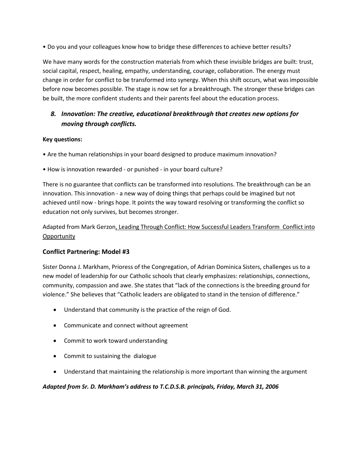• Do you and your colleagues know how to bridge these differences to achieve better results?

We have many words for the construction materials from which these invisible bridges are built: trust, social capital, respect, healing, empathy, understanding, courage, collaboration. The energy must change in order for conflict to be transformed into synergy. When this shift occurs, what was impossible before now becomes possible. The stage is now set for a breakthrough. The stronger these bridges can be built, the more confident students and their parents feel about the education process.

# *8. Innovation: The creative, educational breakthrough that creates new options for moving through conflicts.*

## **Key questions:**

- Are the human relationships in your board designed to produce maximum innovation?
- How is innovation rewarded or punished in your board culture?

There is no guarantee that conflicts can be transformed into resolutions. The breakthrough can be an innovation. This innovation - a new way of doing things that perhaps could be imagined but not achieved until now - brings hope. It points the way toward resolving or transforming the conflict so education not only survives, but becomes stronger.

Adapted from Mark Gerzon, Leading Through Conflict: How Successful Leaders Transform Conflict into **Opportunity** 

# **Conflict Partnering: Model #3**

Sister Donna J. Markham, Prioress of the Congregation, of Adrian Dominica Sisters, challenges us to a new model of leadership for our Catholic schools that clearly emphasizes: relationships, connections, community, compassion and awe. She states that "lack of the connections is the breeding ground for violence." She believes that "Catholic leaders are obligated to stand in the tension of difference."

- Understand that community is the practice of the reign of God.
- Communicate and connect without agreement
- Commit to work toward understanding
- Commit to sustaining the dialogue
- Understand that maintaining the relationship is more important than winning the argument

#### *Adapted from Sr. D. Markham's address to T.C.D.S.B. principals, Friday, March 31, 2006*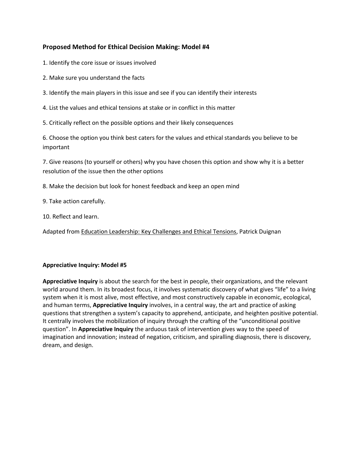# **Proposed Method for Ethical Decision Making: Model #4**

- 1. Identify the core issue or issues involved
- 2. Make sure you understand the facts
- 3. Identify the main players in this issue and see if you can identify their interests
- 4. List the values and ethical tensions at stake or in conflict in this matter
- 5. Critically reflect on the possible options and their likely consequences

6. Choose the option you think best caters for the values and ethical standards you believe to be important

7. Give reasons (to yourself or others) why you have chosen this option and show why it is a better resolution of the issue then the other options

- 8. Make the decision but look for honest feedback and keep an open mind
- 9. Take action carefully.
- 10. Reflect and learn.

Adapted from Education Leadership: Key Challenges and Ethical Tensions, Patrick Duignan

#### **Appreciative Inquiry: Model #5**

**Appreciative Inquiry** is about the search for the best in people, their organizations, and the relevant world around them. In its broadest focus, it involves systematic discovery of what gives "life" to a living system when it is most alive, most effective, and most constructively capable in economic, ecological, and human terms, **Appreciative Inquiry** involves, in a central way, the art and practice of asking questions that strengthen a system's capacity to apprehend, anticipate, and heighten positive potential. It centrally involves the mobilization of inquiry through the crafting of the "unconditional positive question". In **Appreciative Inquiry** the arduous task of intervention gives way to the speed of imagination and innovation; instead of negation, criticism, and spiralling diagnosis, there is discovery, dream, and design.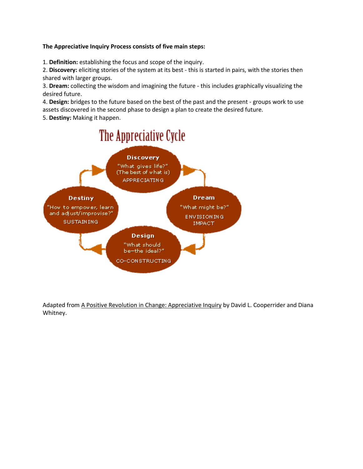## **The Appreciative Inquiry Process consists of five main steps:**

1. **Definition:** establishing the focus and scope of the inquiry.

2. **Discovery:** eliciting stories of the system at its best - this is started in pairs, with the stories then shared with larger groups.

3. **Dream:** collecting the wisdom and imagining the future - this includes graphically visualizing the desired future.

4. **Design:** bridges to the future based on the best of the past and the present - groups work to use assets discovered in the second phase to design a plan to create the desired future.

5. **Destiny:** Making it happen.



Adapted from A Positive Revolution in Change: Appreciative Inquiry by David L. Cooperrider and Diana Whitney.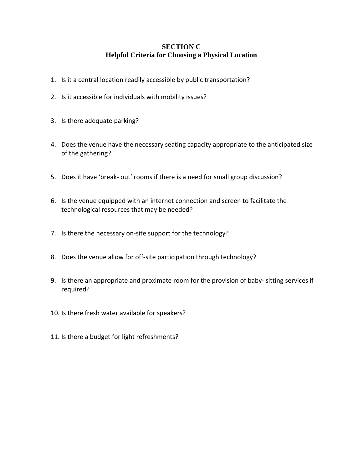# **SECTION C Helpful Criteria for Choosing a Physical Location**

- 1. Is it a central location readily accessible by public transportation?
- 2. Is it accessible for individuals with mobility issues?
- 3. Is there adequate parking?
- 4. Does the venue have the necessary seating capacity appropriate to the anticipated size of the gathering?
- 5. Does it have 'break- out' rooms if there is a need for small group discussion?
- 6. Is the venue equipped with an internet connection and screen to facilitate the technological resources that may be needed?
- 7. Is there the necessary on-site support for the technology?
- 8. Does the venue allow for off-site participation through technology?
- 9. Is there an appropriate and proximate room for the provision of baby- sitting services if required?
- 10. Is there fresh water available for speakers?
- 11. Is there a budget for light refreshments?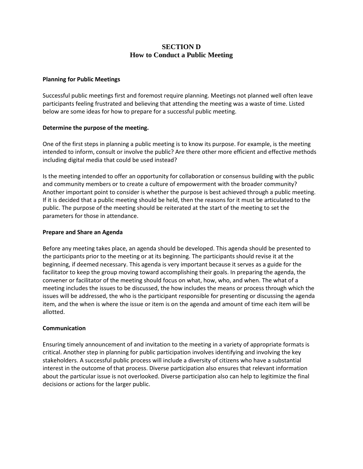# **SECTION D How to Conduct a Public Meeting**

#### **Planning for Public Meetings**

Successful public meetings first and foremost require planning. Meetings not planned well often leave participants feeling frustrated and believing that attending the meeting was a waste of time. Listed below are some ideas for how to prepare for a successful public meeting.

#### **Determine the purpose of the meeting.**

One of the first steps in planning a public meeting is to know its purpose. For example, is the meeting intended to inform, consult or involve the public? Are there other more efficient and effective methods including digital media that could be used instead?

Is the meeting intended to offer an opportunity for collaboration or consensus building with the public and community members or to create a culture of empowerment with the broader community? Another important point to consider is whether the purpose is best achieved through a public meeting. If it is decided that a public meeting should be held, then the reasons for it must be articulated to the public. The purpose of the meeting should be reiterated at the start of the meeting to set the parameters for those in attendance.

#### **Prepare and Share an Agenda**

Before any meeting takes place, an agenda should be developed. This agenda should be presented to the participants prior to the meeting or at its beginning. The participants should revise it at the beginning, if deemed necessary. This agenda is very important because it serves as a guide for the facilitator to keep the group moving toward accomplishing their goals. In preparing the agenda, the convener or facilitator of the meeting should focus on what, how, who, and when. The what of a meeting includes the issues to be discussed, the how includes the means or process through which the issues will be addressed, the who is the participant responsible for presenting or discussing the agenda item, and the when is where the issue or item is on the agenda and amount of time each item will be allotted.

#### **Communication**

Ensuring timely announcement of and invitation to the meeting in a variety of appropriate formats is critical. Another step in planning for public participation involves identifying and involving the key stakeholders. A successful public process will include a diversity of citizens who have a substantial interest in the outcome of that process. Diverse participation also ensures that relevant information about the particular issue is not overlooked. Diverse participation also can help to legitimize the final decisions or actions for the larger public.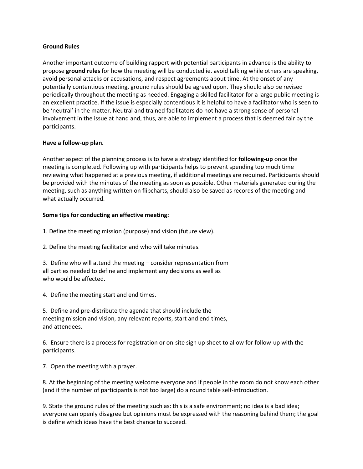#### **Ground Rules**

Another important outcome of building rapport with potential participants in advance is the ability to propose **ground rules** for how the meeting will be conducted ie. avoid talking while others are speaking, avoid personal attacks or accusations, and respect agreements about time. At the onset of any potentially contentious meeting, ground rules should be agreed upon. They should also be revised periodically throughout the meeting as needed. Engaging a skilled facilitator for a large public meeting is an excellent practice. If the issue is especially contentious it is helpful to have a facilitator who is seen to be 'neutral' in the matter. Neutral and trained facilitators do not have a strong sense of personal involvement in the issue at hand and, thus, are able to implement a process that is deemed fair by the participants.

#### **Have a follow-up plan.**

Another aspect of the planning process is to have a strategy identified for **following-up** once the meeting is completed. Following up with participants helps to prevent spending too much time reviewing what happened at a previous meeting, if additional meetings are required. Participants should be provided with the minutes of the meeting as soon as possible. Other materials generated during the meeting, such as anything written on flipcharts, should also be saved as records of the meeting and what actually occurred.

#### **Some tips for conducting an effective meeting:**

1. Define the meeting mission (purpose) and vision (future view).

2. Define the meeting facilitator and who will take minutes.

3. Define who will attend the meeting – consider representation from all parties needed to define and implement any decisions as well as who would be affected.

4. Define the meeting start and end times.

5. Define and pre-distribute the agenda that should include the meeting mission and vision, any relevant reports, start and end times, and attendees.

6. Ensure there is a process for registration or on-site sign up sheet to allow for follow-up with the participants.

7. Open the meeting with a prayer.

8. At the beginning of the meeting welcome everyone and if people in the room do not know each other (and if the number of participants is not too large) do a round table self-introduction.

9. State the ground rules of the meeting such as: this is a safe environment; no idea is a bad idea; everyone can openly disagree but opinions must be expressed with the reasoning behind them; the goal is define which ideas have the best chance to succeed.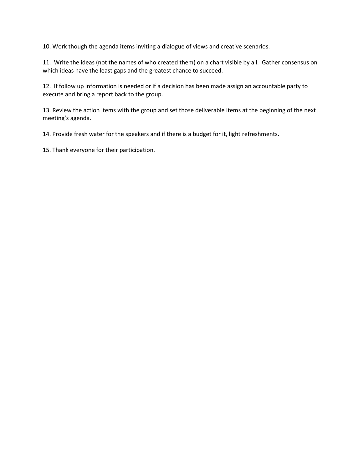10. Work though the agenda items inviting a dialogue of views and creative scenarios.

11. Write the ideas (not the names of who created them) on a chart visible by all. Gather consensus on which ideas have the least gaps and the greatest chance to succeed.

12. If follow up information is needed or if a decision has been made assign an accountable party to execute and bring a report back to the group.

13. Review the action items with the group and set those deliverable items at the beginning of the next meeting's agenda.

14. Provide fresh water for the speakers and if there is a budget for it, light refreshments.

15. Thank everyone for their participation.